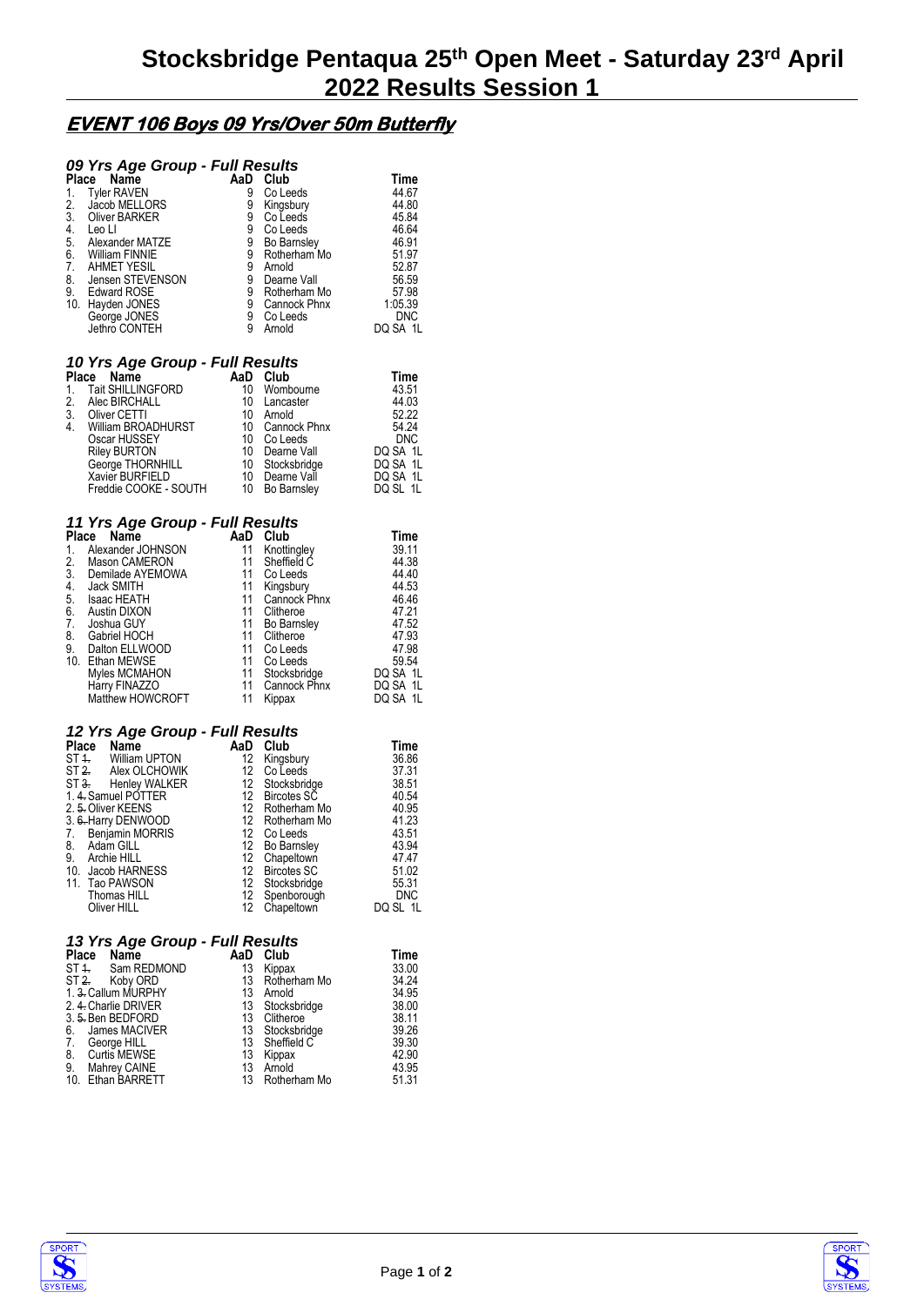# **EVENT 106 Boys 09 Yrs/Over 50m Butterfly**

#### *09 Yrs Age Group - Full Results*

|          | Name<br>Place      | AaD | Club         | Time       |
|----------|--------------------|-----|--------------|------------|
| 1.       | <b>Tyler RAVEN</b> | 9   | Co Leeds     | 44.67      |
| 2.       | Jacob MELLORS      | 9   | Kingsbury    | 44.80      |
| 3.       | Oliver BARKER      | 9   | Co Leeds     | 45.84      |
| 4.       | Leo Ll             | 9   | Co Leeds     | 46.64      |
| 5.<br>6. | Alexander MATZE    | 9   | Bo Barnsley  | 46.91      |
|          | William FINNIE     | 9   | Rotherham Mo | 51.97      |
| 7.       | AHMET YESIL        | 9   | Arnold       | 52.87      |
| 8.       | Jensen STEVENSON   | 9   | Dearne Vall  | 56.59      |
| 9.       | Edward ROSE        | 9   | Rotherham Mo | 57.98      |
| 10.      | Hayden JONES       | 9   | Cannock Phnx | 1:05.39    |
|          | George JONES       | 9   | Co Leeds     | <b>DNC</b> |
|          | Jethro CONTEH      | 9   | Arnold       | DQ SA 1L   |
|          |                    |     |              |            |

#### *10 Yrs Age Group - Full Results*

| Place Name            |                 | Club      | Time                                                                                                                      |
|-----------------------|-----------------|-----------|---------------------------------------------------------------------------------------------------------------------------|
| Tait SHILLINGFORD     | 10              |           | 43.51                                                                                                                     |
| Alec BIRCHALL         | 10              | Lancaster | 44.03                                                                                                                     |
| Oliver CETTI          |                 |           | 52.22                                                                                                                     |
| William BROADHURST    |                 |           | 54.24                                                                                                                     |
| Oscar HUSSEY          | 10              | Co Leeds  | <b>DNC</b>                                                                                                                |
| <b>Riley BURTON</b>   |                 |           | DQ SA 1L                                                                                                                  |
| George THORNHILL      |                 |           | DQ SA 1L                                                                                                                  |
|                       |                 |           | DQ SA 1L                                                                                                                  |
| Freddie COOKE - SOUTH |                 |           | DQ SL 1L                                                                                                                  |
|                       | Xavier BURFIELD |           | AaD<br>Wombourne<br>10 Arnold<br>10 Cannock Phnx<br>10 Dearne Vall<br>10 Stocksbridge<br>10 Dearne Vall<br>10 Bo Barnsley |

### *11 Yrs Age Group - Full Results*

| Name<br>Place      | AaD | Club         | <b>Time</b> |
|--------------------|-----|--------------|-------------|
| Alexander JOHNSON  | 11  | Knottingley  | 39.11       |
| Mason CAMERON      | 11  |              | 44.38       |
| Demilade AYEMOWA   | 11  | Co Leeds     | 44.40       |
| Jack SMITH         | 11  | Kingsbury    | 44.53       |
| <b>Isaac HEATH</b> | 11  | Cannock Phnx | 46.46       |
| Austin DIXON       | 11  | Clitheroe    | 47.21       |
| Joshua GUY         | 11  | Bo Barnsley  | 47.52       |
| Gabriel HOCH       | 11  | Clitheroe    | 47.93       |
| Dalton ELLWOOD     | 11  | Co Leeds     | 47.98       |
| Ethan MEWSE        | 11  | Co Leeds     | 59.54       |
| Myles MCMAHON      | 11  | Stocksbridge | DQ SA 1L    |
| Harry FINAZZO      | 11  | Cannock Phnx | DQ SA 1L    |
| Matthew HOWCROFT   | 11  | Kippax       | DQ SA 1L    |
|                    |     |              | Sheffield C |

## *12 Yrs Age Group - Full Results*

| Place | Name                          | AaD               | Club               | Time       |
|-------|-------------------------------|-------------------|--------------------|------------|
|       | ST <sub>4</sub> William UPTON | $12 \overline{ }$ | Kingsbury          | 36.86      |
|       | ST 2. Alex OLCHOWIK           | 12                | Co Leeds           | 37.31      |
|       | ST 3. Henley WALKER           | 12                | Stocksbridge       | 38.51      |
|       | 1.4. Samuel POTTER            | 12                | <b>Bircotes SC</b> | 40.54      |
|       | 2. 5. Oliver KEENS            |                   | 12 Rotherham Mo    | 40.95      |
|       | 3. 6. Harry DENWOOD           | 12 <sup>°</sup>   | Rotherham Mo       | 41.23      |
| 7.    | Benjamin MORRIS               | 12                | Co Leeds           | 43.51      |
| 8.    | Adam GILL                     | 12 <sup>°</sup>   | Bo Barnsley        | 43.94      |
| 9.    | Archie HILL                   | 12                | Chapeltown         | 47.47      |
|       | 10. Jacob HARNESS             |                   | 12 Bircotes SC     | 51.02      |
|       | 11. Tao PAWSON                | 12                | Stocksbridge       | 55.31      |
|       | Thomas HILL                   |                   | 12 Spenborough     | <b>DNC</b> |
|       | Oliver HILL                   | 12                | Chapeltown         | DQ SL 1L   |

#### *13 Yrs Age Group - Full Results*

| Place Name                | AaD | Club         | Time  |
|---------------------------|-----|--------------|-------|
| ST 4. Sam REDMOND         | 13  | Kippax       | 33.00 |
| ST 2. Koby ORD            | 13  | Rotherham Mo | 34.24 |
| 1. 3. Callum MURPHY       | 13  | Arnold       | 34.95 |
| 2. 4. Charlie DRIVER      | 13  | Stocksbridge | 38.00 |
| 3. 5. Ben BEDFORD         | 13  | Clitheroe    | 38.11 |
| James MACIVER<br>6.       | 13  | Stocksbridge | 39.26 |
| George HILL<br>7.         | 13  | Sheffield C  | 39.30 |
| 8.<br>Curtis MEWSE        | 13  | Kippax       | 42.90 |
| 9.<br><b>Mahrey CAINE</b> | 13  | Arnold       | 43.95 |
| 10. Ethan BARRETT         | 13  | Rotherham Mo | 51.31 |
|                           |     |              |       |